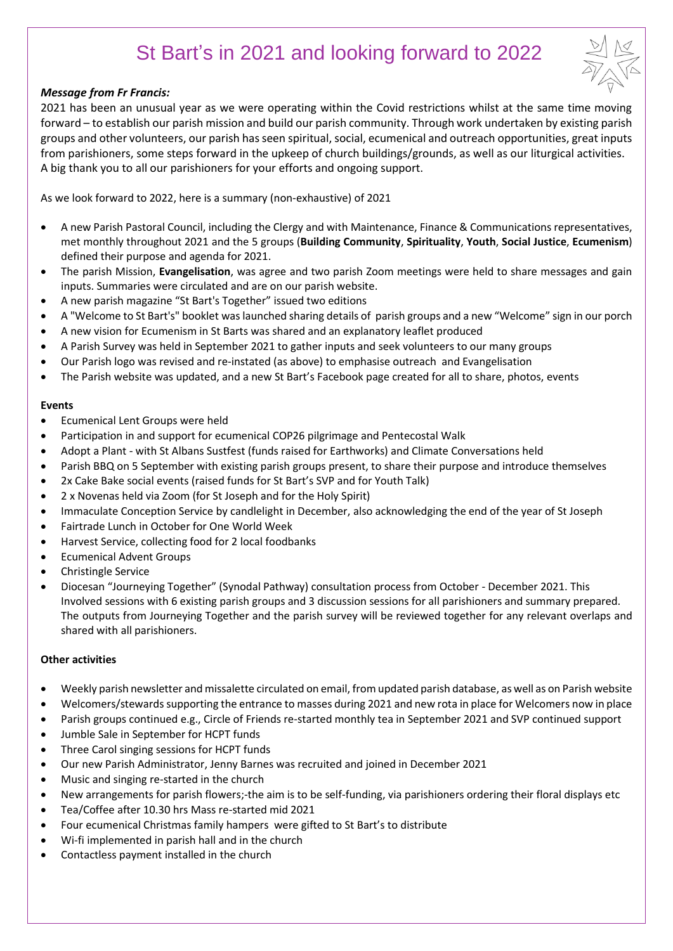# St Bart's in 2021 and looking forward to 2022

# *Message from Fr Francis:*

2021 has been an unusual year as we were operating within the Covid restrictions whilst at the same time moving forward – to establish our parish mission and build our parish community. Through work undertaken by existing parish groups and other volunteers, our parish has seen spiritual, social, ecumenical and outreach opportunities, great inputs from parishioners, some steps forward in the upkeep of church buildings/grounds, as well as our liturgical activities. A big thank you to all our parishioners for your efforts and ongoing support.

As we look forward to 2022, here is a summary (non-exhaustive) of 2021

- A new Parish Pastoral Council, including the Clergy and with Maintenance, Finance & Communications representatives, met monthly throughout 2021 and the 5 groups (**Building Community**, **Spirituality**, **Youth**, **Social Justice**, **Ecumenism**) defined their purpose and agenda for 2021.
- The parish Mission, **Evangelisation**, was agree and two parish Zoom meetings were held to share messages and gain inputs. Summaries were circulated and are on our parish website.
- A new parish magazine "St Bart's Together" issued two editions
- A "Welcome to St Bart's" booklet was launched sharing details of parish groups and a new "Welcome" sign in our porch
- A new vision for Ecumenism in St Barts was shared and an explanatory leaflet produced
- A Parish Survey was held in September 2021 to gather inputs and seek volunteers to our many groups
- Our Parish logo was revised and re-instated (as above) to emphasise outreach and Evangelisation
- The Parish website was updated, and a new St Bart's Facebook page created for all to share, photos, events

# **Events**

- Ecumenical Lent Groups were held
- Participation in and support for ecumenical COP26 pilgrimage and Pentecostal Walk
- Adopt a Plant with St Albans Sustfest (funds raised for Earthworks) and Climate Conversations held
- Parish BBQ on 5 September with existing parish groups present, to share their purpose and introduce themselves
- 2x Cake Bake social events (raised funds for St Bart's SVP and for Youth Talk)
- 2 x Novenas held via Zoom (for St Joseph and for the Holy Spirit)
- Immaculate Conception Service by candlelight in December, also acknowledging the end of the year of St Joseph
- Fairtrade Lunch in October for One World Week
- Harvest Service, collecting food for 2 local foodbanks
- Ecumenical Advent Groups
- Christingle Service
- Diocesan "Journeying Together" (Synodal Pathway) consultation process from October December 2021. This Involved sessions with 6 existing parish groups and 3 discussion sessions for all parishioners and summary prepared. The outputs from Journeying Together and the parish survey will be reviewed together for any relevant overlaps and shared with all parishioners.

### **Other activities**

- Weekly parish newsletter and missalette circulated on email, from updated parish database, as well as on Parish website
- Welcomers/stewards supporting the entrance to masses during 2021 and new rota in place for Welcomers now in place
- Parish groups continued e.g., Circle of Friends re-started monthly tea in September 2021 and SVP continued support
- Jumble Sale in September for HCPT funds
- Three Carol singing sessions for HCPT funds
- Our new Parish Administrator, Jenny Barnes was recruited and joined in December 2021
- Music and singing re-started in the church
- New arrangements for parish flowers;-the aim is to be self-funding, via parishioners ordering their floral displays etc
- Tea/Coffee after 10.30 hrs Mass re-started mid 2021
- Four ecumenical Christmas family hampers were gifted to St Bart's to distribute
- Wi-fi implemented in parish hall and in the church
- Contactless payment installed in the church